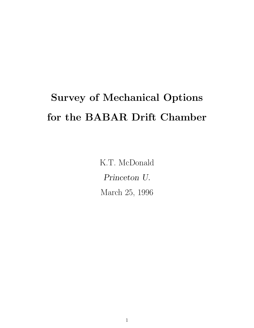# Survey of Mechanical Options for the BABAR Drift Chamber

K.T. McDonald Princeton U. March 25, 1996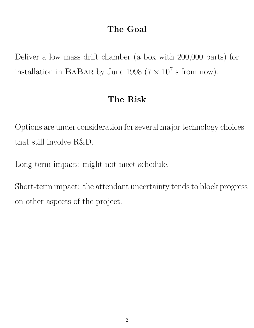# The Goal

Deliver a low mass drift chamber (a box with 200,000 parts) for installation in BABAR by June 1998 ( $7 \times 10^7$  s from now).

#### The Risk

Options are under consideration for several major technology choices that still involve R&D.

Long-term impact: might not meet schedule.

Short-term impact: the attendant uncertainty tends to block progress on other aspects of the project.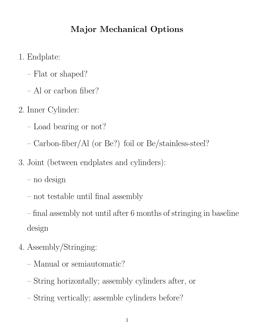# Major Mechanical Options

- 1. Endplate:
	- Flat or shaped?
	- Al or carbon fiber?
- 2. Inner Cylinder:
	- Load bearing or not?
	- Carbon-fiber/Al (or Be?) foil or Be/stainless-steel?
- 3. Joint (between endplates and cylinders):
	- no design
	- not testable until final assembly
	- final assembly not until after 6 months of stringing in baseline design
- 4. Assembly/Stringing:
	- Manual or semiautomatic?
	- String horizontally; assembly cylinders after, or
	- String vertically; assemble cylinders before?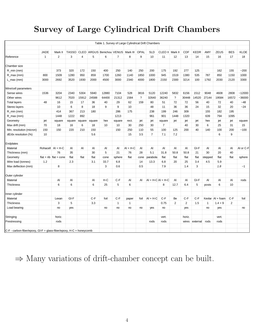# Survey of Large Cylindrical Drift Chambers

| Table 1. Survey of Large Cylindrical Drift Chambers                 |              |                            |        |                |        |                      |                |              |          |                    |                |                |                |             |              |             |                |             |
|---------------------------------------------------------------------|--------------|----------------------------|--------|----------------|--------|----------------------|----------------|--------------|----------|--------------------|----------------|----------------|----------------|-------------|--------------|-------------|----------------|-------------|
|                                                                     |              |                            |        |                |        |                      |                |              |          |                    |                |                |                |             |              |             |                |             |
|                                                                     | <b>JADE</b>  | Mark II                    | TASSO  | <b>CLEO</b>    |        | ARGUS Benichou VENUS |                | Mark III     | OPAL     | <b>SLD</b>         | CLEO II        | Mark II        | CDF            | <b>KEDR</b> | AMY          | <b>ZEUS</b> | <b>BES</b>     | <b>KLOE</b> |
| Reference                                                           | $\mathbf{1}$ | 2                          | 3      | $\overline{4}$ | 5      | 6                    | $\overline{7}$ | 8            | 9        | 10                 | 11             | 12             | 13             | 14          | 15           | 16          | 17             | 18          |
|                                                                     |              |                            |        |                |        |                      |                |              |          |                    |                |                |                |             |              |             |                |             |
| Chamber size                                                        |              |                            |        |                |        |                      |                |              |          |                    |                |                |                |             |              |             |                |             |
| $R_{min}(mm)$                                                       |              | 373                        | 320    | 172            | 150    | 400                  | 250            | 140          | 250      | 200                | 175            | 192            | 277            | 125         |              | 162         | 155            | $-200$      |
| $R_{max}(mm)$                                                       | 800          | 1509                       | 1280   | 950            | 859    | 1700                 | 1260           | 1140         | 1850     | 1000               | 945            | 1519           | 1380           | 535         | 787          | 850         | 1150           | 1000        |
| $L_{max}(mm)$                                                       | 3000         | 2692                       | 3520   | 1930           | 2000   | 4500                 | 3000           | 2340         | 4000     | 1800               | 2150           | 2300           | 3214           | 100         | 1792         | 2030        | 2120           | 3300        |
|                                                                     |              |                            |        |                |        |                      |                |              |          |                    |                |                |                |             |              |             |                |             |
| Wire/cell parameters                                                |              |                            |        |                |        |                      |                |              |          |                    |                |                |                |             |              |             |                |             |
| Sense wires                                                         | 1536         | 3204                       | 2340   | 5304           | 5940   | 12880                | 7104           | 528          | 3816     | 5120               | 12240          | 5832           | 6156           | 1512        | 9048         | 4608        | 2808           | $-12000$    |
| Other wires                                                         |              | 9612                       | 7020   | 15912          | 24588  | 64400                | 21312          | 1584         | $\gamma$ | 32640              | 36240          | $\overline{?}$ | 30448          | 14520       | 27144        | 19584       | 16572          | ~36000      |
| <b>Total layers</b>                                                 | 48           | 16                         | 15     | 17             | 36     | 40                   | 29             | 62           | 159      | 80                 | 51             | 72             | 72             | 56          | 40           | 72          | 40             | $-48$       |
| Stereo layers                                                       |              | 10                         | 6      | 8              | 18     | 9                    | 9              | 10           |          | 48                 | 11             | 36             | 36             | 24          | 15           | 32          | 20             | $-24$       |
| R_min (mm)                                                          |              | 414                        | 367    | 213            | 180    |                      | 286            | 175          |          | 238                | 199            | 246            | 309            |             | 155          | 182         | 195            |             |
| R_max (mm)                                                          |              | 1448                       | 1222   | 892            |        |                      | 1213           |              |          | 961                | 901            | 1448           | 1320           |             | 639          | 794         | 1095           |             |
| Geometry                                                            | jet          | square                     | square | square         | square | hex                  | square         | rect.        | jet      | jet                | square         | jet            | jet            | jet         | hex          | jet         | jet            | square      |
| Max drift (mm)                                                      | 70           | 18                         | 16     | 6              | 18     | 10                   | 10             | 30           | 250      | 30                 | $\overline{7}$ |                | 40             | 30          | 6            | 25          | 31             | 15          |
| Min. resolution (micron)                                            | 150          | 150                        | 220    | 210            | 150    |                      | 150            | 250          | 110      | 55                 | 100            | 125            | 200            | 40          | 140          | 100         | 200            | ~100        |
| dE/dx resolution (%)                                                | 10           |                            |        |                | 5.6    |                      |                | 15           | 3.5      | $\overline{7}$     | 7.1            | 7.2            |                |             |              | 6           | 9              |             |
|                                                                     |              |                            |        |                |        |                      |                |              |          |                    |                |                |                |             |              |             |                |             |
| Endplates                                                           |              |                            |        |                |        |                      |                |              |          |                    |                |                |                |             |              |             |                |             |
| Material                                                            | Rohacell     | $AI + H-C$                 | Al     | Al             | Al     | Al                   | Al             | $AI + H-C$   | Al       | Al                 | Al             | Al             | AI             | GI-F        | Al           | Al          | Al             | Al or C-F   |
| Thickness (mm)                                                      |              | 76                         | 35     |                | 30     | 5                    | 21             | 76           | 28       | 5.1                | 31.8           | 50.8           | 50.8           | 21          | 30           | 20          | 40             |             |
| Geometry                                                            |              | flat + rib $ $ flat + cone | flat   | flat           | flat   | cone                 | sphere         | flat         | cone     | parabola           | flat           | flat           | flat           | flat        | stepped      | flat        | flat           | sphere      |
| Wire load (tonnes)                                                  | 1.2          |                            | 2.3    |                | 3.1    | 33.7                 | 6.8            |              | 14       | 13.3               | 6.8            | 20             | 25             | 3.4         | 4.5          | 5.9         |                |             |
| Max deflection (mm)                                                 |              | 8                          |        |                |        | 3                    | 0.6            |              | 0.5      |                    | 7.9            |                | 1.4            | 3           |              | 1.8         |                | ~1          |
|                                                                     |              |                            |        |                |        |                      |                |              |          |                    |                |                |                |             |              |             |                |             |
| Outer cylinder                                                      |              |                            |        |                |        |                      |                |              |          |                    |                |                |                |             |              |             |                |             |
| Material                                                            |              | Al                         | Al     |                | Al     | H-C                  | $C-F$          | AI           | AI       | $AI + H-CAI + H-C$ |                | Al             | Al             | $GI-F$      | Al           | Al          | Al             | rods        |
| Thickness                                                           |              | 6                          | 6      |                | 6      | 25                   | 5              | 6            |          |                    | 8              | 12.7           | 6.4            | 5           | posts        | 6           | 10             |             |
|                                                                     |              |                            |        |                |        |                      |                |              |          |                    |                |                |                |             |              |             |                |             |
| Inner cylinder                                                      |              |                            |        |                |        |                      |                |              |          |                    |                |                |                |             |              |             |                |             |
| Material                                                            |              | Lexan                      | GI-F   |                | $C-F$  | foil                 | $C-F$          | paper        | foil     | $AI + H-C$         | $C-F$          | Be             | $C-F$          | $C-F$       | Kevlar       | Al + foam   | $C-F$          | foil        |
| <b>Thickness</b>                                                    |              | 3                          | 5      |                | 3.3    |                      | $\mathbf{1}$   | $\mathbf{1}$ |          |                    | 0.75           | 2              | $\overline{2}$ | 1.5         | $\mathbf{1}$ | $1.4 + 9$   | $\overline{2}$ |             |
| Load bearing                                                        |              | no                         | yes    |                |        | no                   | no             | no           | no       | yes                | no             |                | yes            |             | no           | yes         |                | no          |
|                                                                     |              |                            |        |                |        |                      |                |              |          |                    |                |                |                |             |              |             |                |             |
| Stringing                                                           |              | horiz.                     |        |                |        |                      |                |              |          |                    | vert.          |                | horiz.         |             |              | vert.       |                |             |
| Prestressing                                                        |              | rods                       |        |                |        |                      |                |              |          | rods               | rods           |                | wires          | external    | rods         | rods        |                |             |
|                                                                     |              |                            |        |                |        |                      |                |              |          |                    |                |                |                |             |              |             |                |             |
| C-F - carbon-fiber/epoxy, GI-F = glass-fiber/epoxy, H-C = honeycomb |              |                            |        |                |        |                      |                |              |          |                    |                |                |                |             |              |             |                |             |

 $\Rightarrow$  Many variations of drift-chamber concept can be built.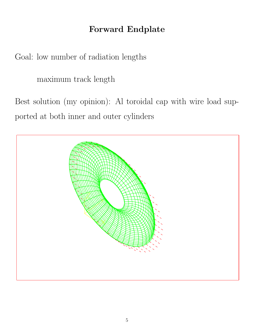# Forward Endplate

Goal: low number of radiation lengths

maximum track length

Best solution (my opinion): Al toroidal cap with wire load supported at both inner and outer cylinders

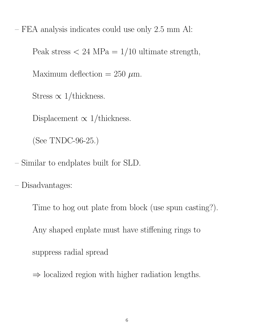– FEA analysis indicates could use only 2.5 mm Al:

Peak stress  $\langle 24 \text{ MPa} = 1/10 \text{ ultimate strength},$ 

Maximum deflection = 250  $\mu$ m.

Stress  $\propto 1/\text{thickness}$ .

Displacement  $\propto 1$ /thickness.

(See TNDC-96-25.)

– Similar to endplates built for SLD.

– Disadvantages:

Time to hog out plate from block (use spun casting?). Any shaped enplate must have stiffening rings to suppress radial spread

 $\Rightarrow$  localized region with higher radiation lengths.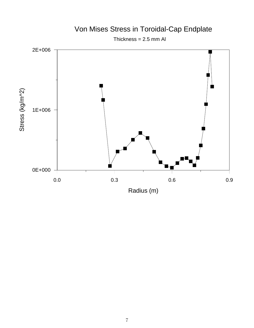

### Von Mises Stress in Toroidal-Cap Endplate

Thickness =  $2.5$  mm Al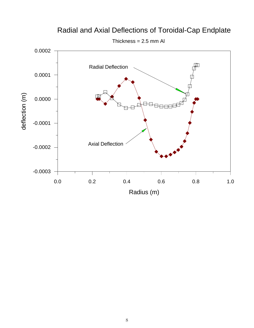

#### Radial and Axial Deflections of Toroidal-Cap Endplate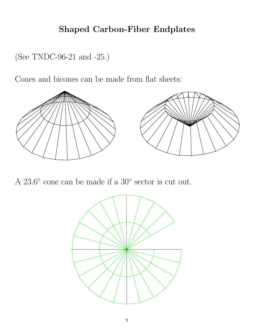# Shaped Carbon-Fiber Endplates

(See TNDC-96-21 and -25.)

Cones and bicones can be made from flat sheets:



A 23.6° cone can be made if a 30° sector is cut out.

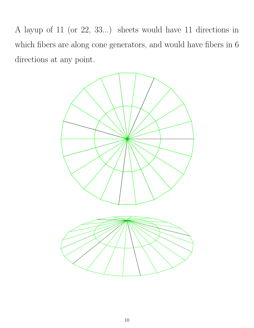A layup of 11 (or 22, 33...) sheets would have 11 directions in which fibers are along cone generators, and would have fibers in 6 directions at any point.

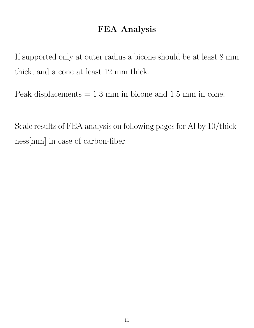#### FEA Analysis

If supported only at outer radius a bicone should be at least 8 mm thick, and a cone at least 12 mm thick.

Peak displacements = 1.3 mm in bicone and 1.5 mm in cone.

Scale results of FEA analysis on following pages for Al by 10/thickness[mm] in case of carbon-fiber.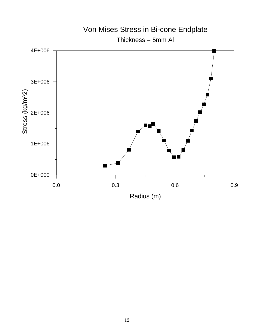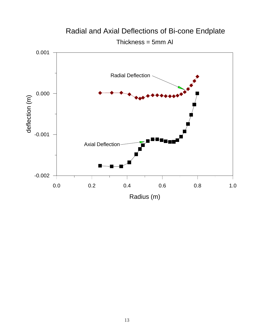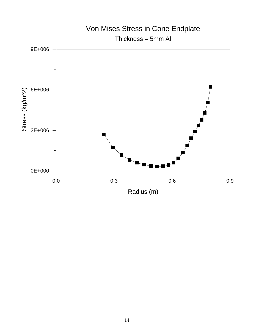

#### 14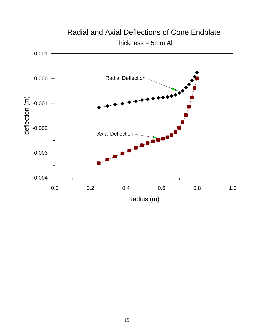

# Radial and Axial Deflections of Cone Endplate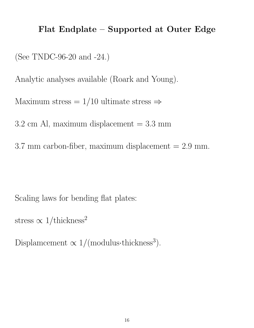#### Flat Endplate – Supported at Outer Edge

(See TNDC-96-20 and -24.)

Analytic analyses available (Roark and Young).

Maximum stress =  $1/10$  ultimate stress  $\Rightarrow$ 

 $3.2 \text{ cm}$  Al, maximum displacement  $= 3.3 \text{ mm}$ 

 $3.7 \text{ mm}$  carbon-fiber, maximum displacement  $= 2.9 \text{ mm}$ .

Scaling laws for bending flat plates:

stress  $\propto 1/\text{thickness}^2$ 

Displamcement  $\propto 1/($ modulus·thickness<sup>3</sup>).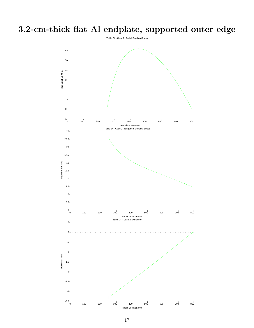3.2-cm-thick flat Al endplate, supported outer edge

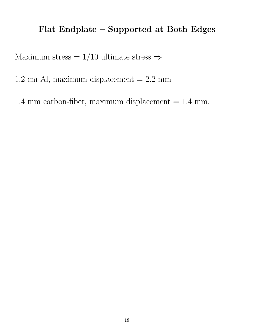# Flat Endplate – Supported at Both Edges

Maximum stress =  $1/10$  ultimate stress  $\Rightarrow$ 

1.2 cm Al, maximum displacement  $= 2.2$  mm

1.4 mm carbon-fiber, maximum displacement  $= 1.4$  mm.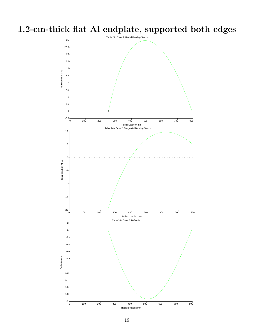1.2-cm-thick flat Al endplate, supported both edges

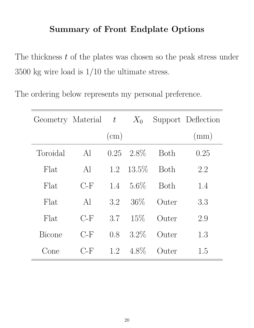### Summary of Front Endplate Options

The thickness  $t$  of the plates was chosen so the peak stress under 3500 kg wire load is 1/10 the ultimate stress.

The ordering below represents my personal preference.

| Geometry Material $t$ |       |      | $X_0$    |             | Support Deflection |  |
|-----------------------|-------|------|----------|-------------|--------------------|--|
|                       |       | (cm) |          |             | (mm)               |  |
| Toroidal              | Al    | 0.25 | 2.8\%    | <b>Both</b> | 0.25               |  |
| Flat                  | Al    | 1.2  | $13.5\%$ | <b>Both</b> | 2.2                |  |
| Flat                  | $C-F$ | 1.4  | $5.6\%$  | <b>Both</b> | 1.4                |  |
| Flat                  | Al    | 3.2  | $36\%$   | Outer       | 3.3                |  |
| Flat                  | $C-F$ | 3.7  | $15\%$   | Outer       | 2.9                |  |
| <b>Bicone</b>         | $C-F$ | 0.8  | $3.2\%$  | Outer       | 1.3                |  |
| Cone                  | $C-F$ | 1.2  | $4.8\%$  | Outer       | 1.5                |  |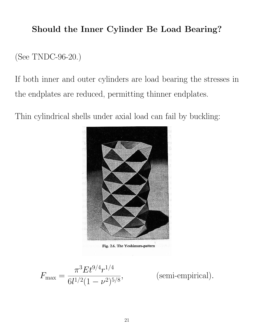#### Should the Inner Cylinder Be Load Bearing?

(See TNDC-96-20.)

If both inner and outer cylinders are load bearing the stresses in the endplates are reduced, permitting thinner endplates.

Thin cylindrical shells under axial load can fail by buckling:



Fig. 2.6. The Yoshimura-pattern

$$
F_{\text{max}} = \frac{\pi^3 E t^{9/4} r^{1/4}}{6l^{1/2} (1 - \nu^2)^{5/8}},
$$

, (semi-empirical).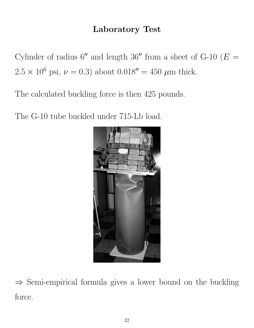# Laboratory Test

Cylinder of radius  $6''$  and length 36" from a sheet of G-10 ( $E =$  $2.5 \times 10^6$  psi,  $\nu = 0.3$ ) about  $0.018'' = 450 \mu m$  thick.

The calculated buckling force is then 425 pounds.

The G-10 tube buckled under 715-Lb load.



 $\Rightarrow$  Semi-empirical formula gives a lower bound on the buckling force.